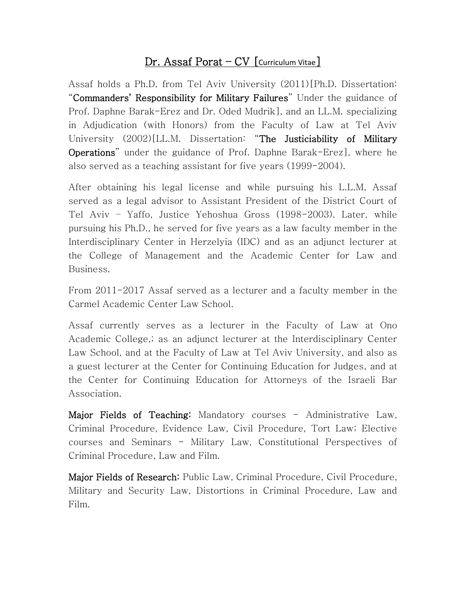## Dr. Assaf Porat – CV [Curriculum Vitae]

Assaf holds a Ph.D. from Tel Aviv University (2011)[Ph.D. Dissertation: "Commanders' Responsibility for Military Failures" Under the guidance of Prof. Daphne Barak-Erez and Dr. Oded Mudrik], and an LL.M. specializing in Adjudication (with Honors) from the Faculty of Law at Tel Aviv University (2002)[LL.M. Dissertation: "The Justiciability of Military Operations" under the guidance of Prof. Daphne Barak-Erez], where he also served as a teaching assistant for five years (1999-2004).

After obtaining his legal license and while pursuing his L.L.M, Assaf served as a legal advisor to Assistant President of the District Court of Tel Aviv – Yaffo, Justice Yehoshua Gross (1998-2003). Later, while pursuing his Ph.D., he served for five years as a law faculty member in the Interdisciplinary Center in Herzelyia (IDC) and as an adjunct lecturer at the College of Management and the Academic Center for Law and Business.

From 2011-2017 Assaf served as a lecturer and a faculty member in the Carmel Academic Center Law School.

Assaf currently serves as a lecturer in the Faculty of Law at Ono Academic College,; as an adjunct lecturer at the Interdisciplinary Center Law School, and at the Faculty of Law at Tel Aviv University, and also as a guest lecturer at the Center for Continuing Education for Judges, and at the Center for Continuing Education for Attorneys of the Israeli Bar Association.

Major Fields of Teaching: Mandatory courses - Administrative Law, Criminal Procedure, Evidence Law, Civil Procedure, Tort Law; Elective courses and Seminars - Military Law, Constitutional Perspectives of Criminal Procedure, Law and Film.

Major Fields of Research: Public Law, Criminal Procedure, Civil Procedure, Military and Security Law, Distortions in Criminal Procedure, Law and Film.